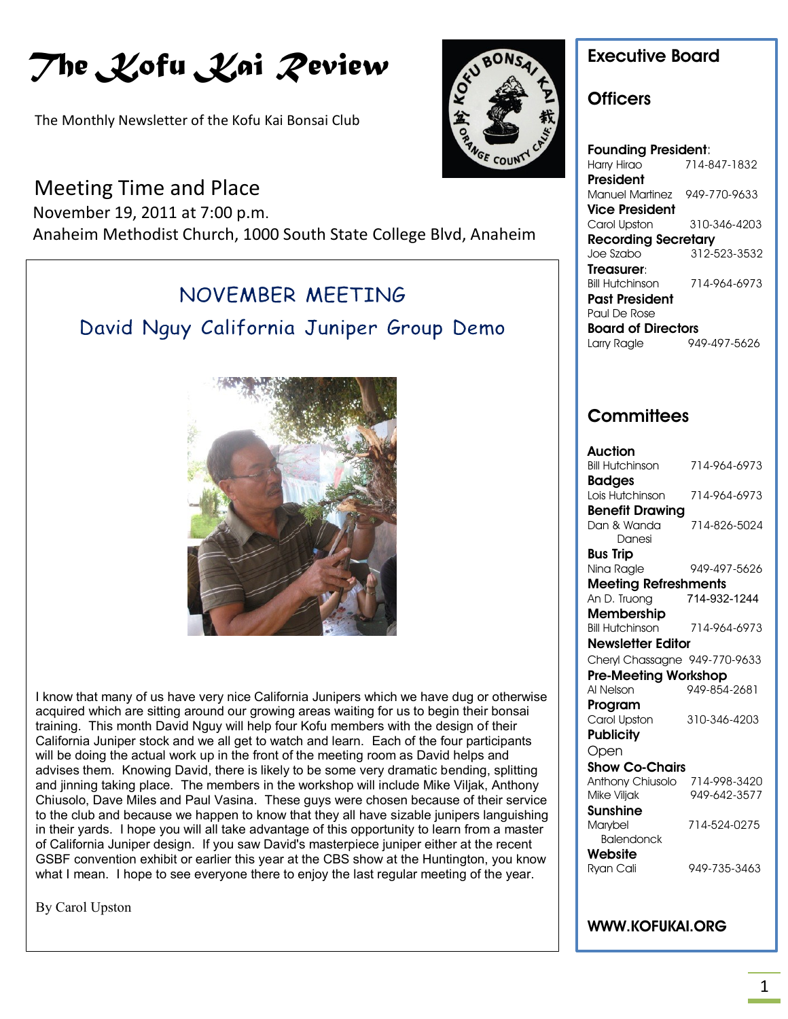# *The Kofu Kai Review*

The Monthly Newsletter of the Kofu Kai Bonsai Club

# Meeting Time and Place

November 19, 2011 at 7:00 p.m.

la de la construcción de la construcción de la construcción de la construcción de la construcción de la construcción de la construcción de la construcción de la construcción de la construcción de la construcción de la cons

Anaheim Methodist Church, 1000 South State College Blvd, Anaheim

# NOVEMBER MEETING

David Nguy California Juniper Group Demo



I know that many of us have very nice California Junipers which we have dug or otherwise acquired which are sitting around our growing areas waiting for us to begin their bonsai training. This month David Nguy will help four Kofu members with the design of their California Juniper stock and we all get to watch and learn. Each of the four participants will be doing the actual work up in the front of the meeting room as David helps and advises them. Knowing David, there is likely to be some very dramatic bending, splitting and jinning taking place. The members in the workshop will include Mike Viljak, Anthony Chiusolo, Dave Miles and Paul Vasina. These guys were chosen because of their service to the club and because we happen to know that they all have sizable junipers languishing in their yards. I hope you will all take advantage of this opportunity to learn from a master of California Juniper design. If you saw David's masterpiece juniper either at the recent GSBF convention exhibit or earlier this year at the CBS show at the Huntington, you know what I mean. I hope to see everyone there to enjoy the last regular meeting of the year.

By Carol Upston



KOAC

#### **Founding President**: Harry Hirao 714-847-1832 **President** Manuel Martinez 949-770-9633 **Vice President** Carol Upston 310-346-4203 **Recording Secretary**<br>Joe Szabo 312-5 312-523-3532 **Treasurer**: Bill Hutchinson 714-964-6973 **Past President** Paul De Rose **Board of Directors** Larry Ragle 949-497-5626

### **Committees**

| <b>Auction</b>                |              |
|-------------------------------|--------------|
| <b>Bill Hutchinson</b>        | 714-964-6973 |
| <b>Badges</b>                 |              |
| Lois Hutchinson               | 714-964-6973 |
| <b>Benefit Drawing</b>        |              |
| Dan & Wanda                   | 714-826-5024 |
| Danesi                        |              |
| Bus Trip                      |              |
| Nina Ragle                    | 949-497-5626 |
| <b>Meeting Refreshments</b>   |              |
| An D. Truong                  | 714-932-1244 |
| <b>Membership</b>             |              |
| Bill Hutchinson               | 714-964-6973 |
| <b>Newsletter Editor</b>      |              |
| Cheryl Chassagne 949-770-9633 |              |
| <b>Pre-Meeting Workshop</b>   |              |
| Al Nelson                     | 949-854-2681 |
| Program                       |              |
| Carol Upston                  | 310-346-4203 |
| <b>Publicity</b>              |              |
| Open                          |              |
| <b>Show Co-Chairs</b>         |              |
| Anthony Chiusolo              | 714-998-3420 |
| Mike Viljak                   | 949-642-3577 |
| Sunshine                      |              |
| Marybel                       | 714-524-0275 |
| <b>Balendonck</b>             |              |
| Website                       |              |
| Ryan Cali                     | 949-735-3463 |
|                               |              |

### **WWW.KOFUKAI.ORG**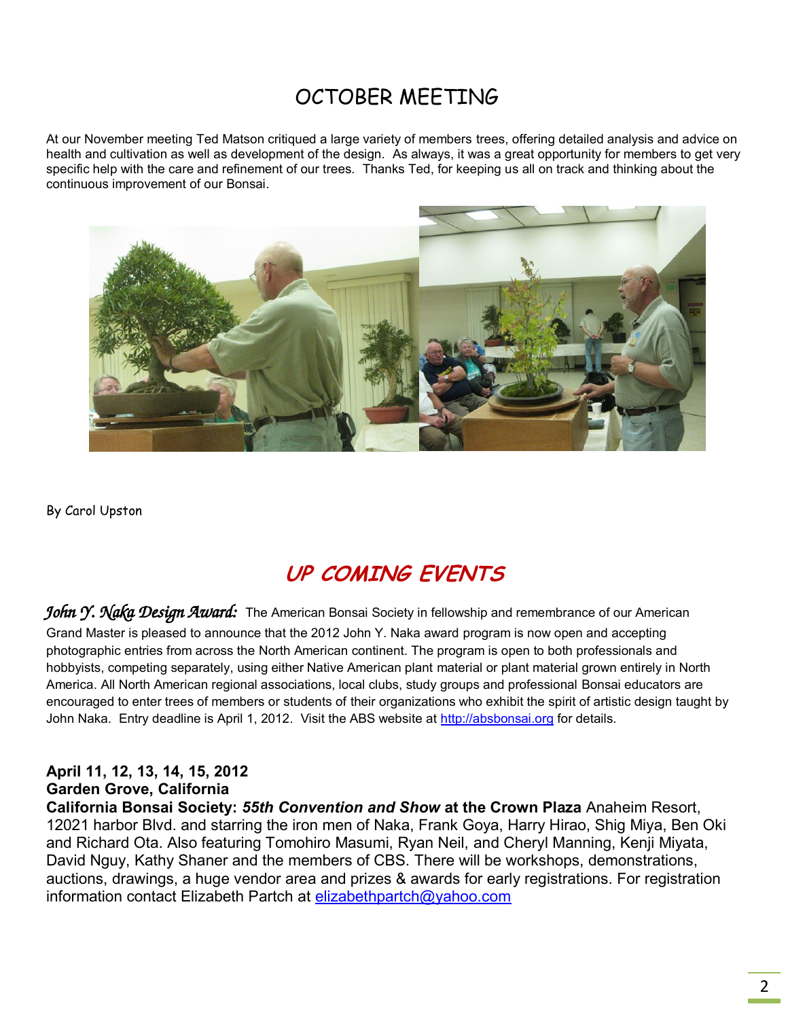# OCTOBER MEETING

At our November meeting Ted Matson critiqued a large variety of members trees, offering detailed analysis and advice on health and cultivation as well as development of the design. As always, it was a great opportunity for members to get very specific help with the care and refinement of our trees. Thanks Ted, for keeping us all on track and thinking about the continuous improvement of our Bonsai.



By Carol Upston

# **UP COMING EVENTS**

John Y. Naka Design Award: The American Bonsai Society in fellowship and remembrance of our American Grand Master is pleased to announce that the 2012 John Y. Naka award program is now open and accepting photographic entries from across the North American continent. The program is open to both professionals and hobbyists, competing separately, using either Native American plant material or plant material grown entirely in North America. All North American regional associations, local clubs, study groups and professional Bonsai educators are encouraged to enter trees of members or students of their organizations who exhibit the spirit of artistic design taught by John Naka. Entry deadline is April 1, 2012. Visit the ABS website at [http://absbonsai.org](http://absbonsai.org/) for details.

### **April 11, 12, 13, 14, 15, 2012**

### **Garden Grove, California**

**California Bonsai Society:** *55th Convention and Show* **at the Crown Plaza** Anaheim Resort, 12021 harbor Blvd. and starring the iron men of Naka, Frank Goya, Harry Hirao, Shig Miya, Ben Oki and Richard Ota. Also featuring Tomohiro Masumi, Ryan Neil, and Cheryl Manning, Kenji Miyata, David Nguy, Kathy Shaner and the members of CBS. There will be workshops, demonstrations, auctions, drawings, a huge vendor area and prizes & awards for early registrations. For registration information contact Elizabeth Partch at [elizabethpartch@yahoo.com](mailto:elizabethpartch@yahoo.com)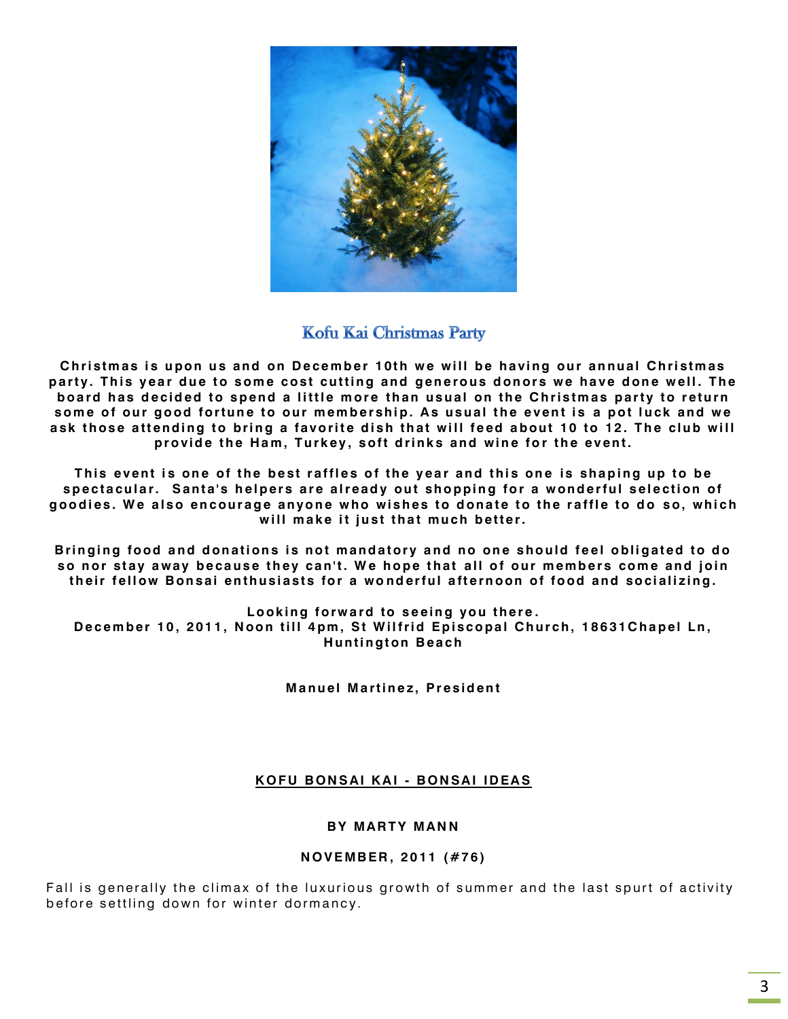

### Kofu Kai Christmas Party

Christmas is upon us and on December 10th we will be having our annual Christmas party. This year due to some cost cutting and generous donors we have done well. The board has decided to spend a little more than usual on the Christmas party to return some of our good fortune to our membership. As usual the event is a pot luck and we ask those attending to bring a favorite dish that will feed about 10 to 12. The club will provide the Ham, Turkey, soft drinks and wine for the event.

This event is one of the best raffles of the year and this one is shaping up to be spectacular. Santa's helpers are already out shopping for a wonderful selection of **g o o d i es . W e a l s o en c ou r a g e an y o n e w ho wi s h es t o d on a t e t o t h e r a ffl e t o d o s o, whi c h**  will make it just that much better.

Bringing food and donations is not mandatory and no one should feel obligated to do so nor stay away because they can't. We hope that all of our members come and join **t h ei r f el l ow B on s ai en t h u si a st s fo r a wo n d er fu l a ft e rn o on o f f o od an d so ci al i zi n g .**

Looking forward to seeing you there. December 10, 2011, Noon till 4pm, St Wilfrid Episcopal Church, 18631Chapel Ln, **Huntington Beach** 

**Manuel Martinez, President** 

#### **K O F U B ON S AI K A I - B ON SA I ID EA S**

#### **BY MARTY MANN**

#### **N O V E MB ER , 2 0 11 ( #7 6 )**

Fall is generally the climax of the luxurious growth of summer and the last spurt of activity before settling down for winter dormancy.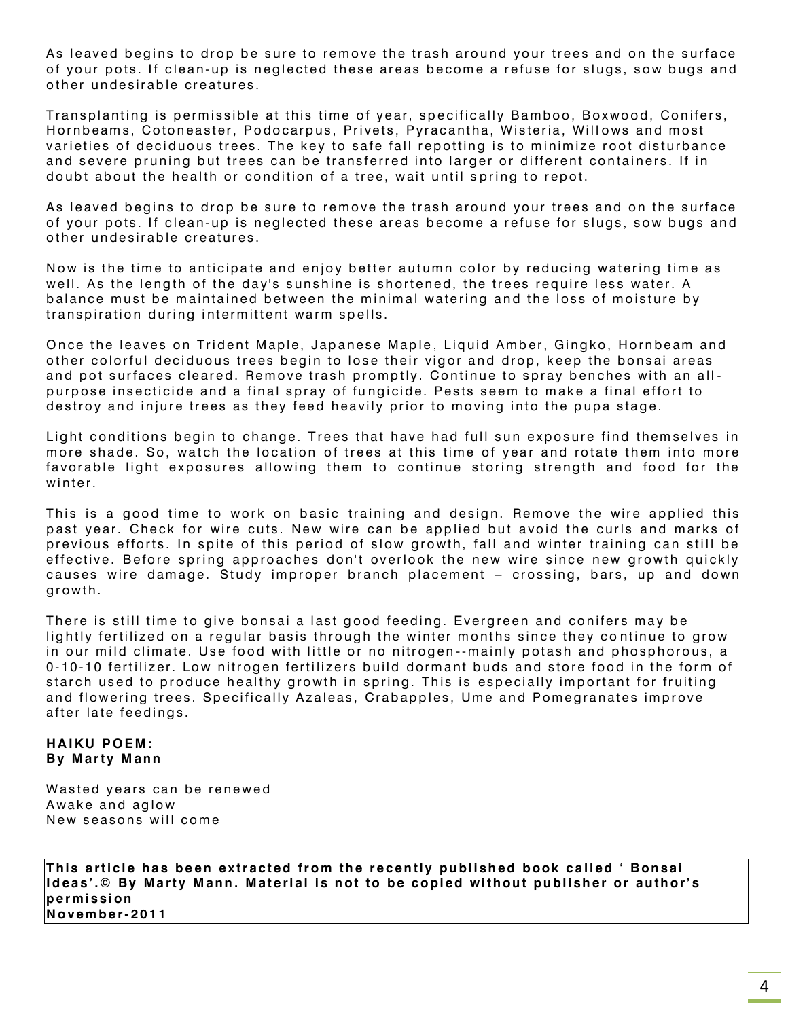As leaved begins to drop be sure to remove the trash around your trees and on the surface of your pots. If clean-up is neglected these areas become a refuse for slugs, sow bugs and other undesirable creatures.

Transplanting is permissible at this time of year, specifically Bamboo, Boxwood, Conifers, Hornbeams, Cotoneaster, Podocarpus, Privets, Pyracantha, Wisteria, Willows and most varieties of deciduous trees. The key to safe fall repotting is to minimize root disturbance and severe pruning but trees can be transferred into larger or different containers. If in doubt about the health or condition of a tree, wait until spring to repot.

As leaved begins to drop be sure to remove the trash around your trees and on the surface of your pots. If clean-up is neglected these areas become a refuse for slugs, sow bugs and other undesirable creatures.

Now is the time to anticipate and enjoy better autumn color by reducing watering time as well. As the length of the day's sunshine is shortened, the trees require less water. A balance must be maintained between the minimal watering and the loss of moisture by transpiration during intermittent warm spells.

Once the leaves on Trident Maple, Japanese Maple, Liquid Amber, Gingko, Hornbeam and other colorful deciduous trees begin to lose their vigor and drop, keep the bonsai areas and pot surfaces cleared. Remove trash promptly. Continue to spray benches with an allpurpose insecticide and a final spray of fungicide. Pests seem to make a final effort to destroy and injure trees as they feed heavily prior to moving into the pupa stage.

Light conditions begin to change. Trees that have had full sun exposure find themselves in more shade. So, watch the location of trees at this time of year and rotate them into more favorable light exposures allowing them to continue storing strength and food for the winter.

This is a good time to work on basic training and design. Remove the wire applied this past year. Check for wire cuts. New wire can be applied but avoid the curls and marks of previous efforts. In spite of this period of slow growth, fall and winter training can still be effective. Before spring approaches don't overlook the new wire since new growth quickly causes wire damage. Study improper branch placement – crossing, bars, up and down growth.

There is still time to give bonsai a last good feeding. Evergreen and conifers may be lightly fertilized on a regular basis through the winter months since they continue to grow in our mild climate. Use food with little or no nitrogen--mainly potash and phosphorous, a 0-10-10 fertilizer. Low nitrogen fertilizers build dormant buds and store food in the form of starch used to produce healthy growth in spring. This is especially important for fruiting and flowering trees. Specifically Azaleas, Crabapples, Ume and Pomegranates improve after late feedings.

#### **HAIKU POEM: By Marty Mann**

Wasted years can be renewed Awake and aglow New seasons will come

This article has been extracted from the recently published book called ' Bonsai Ideas'.© By Marty Mann. Material is not to be copied without publisher or author's **p e r m i ssi on N o v em b e r- 20 1 1**